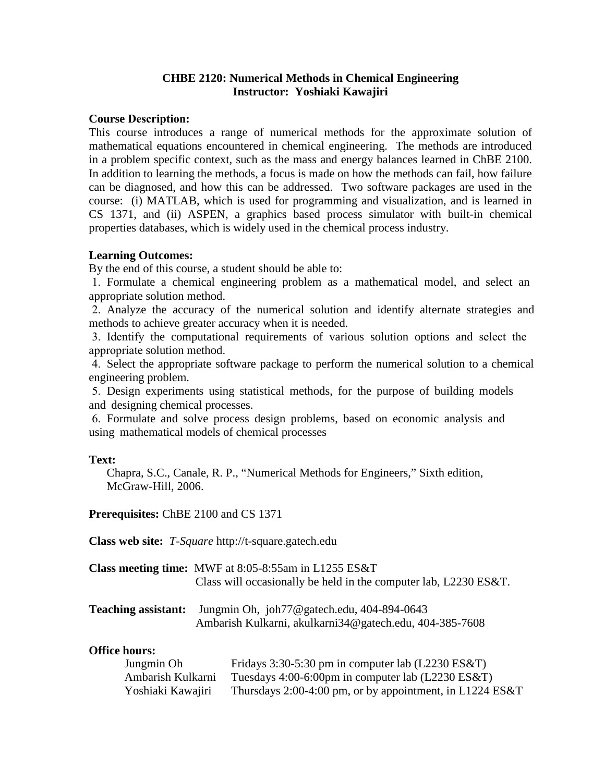## **CHBE 2120: Numerical Methods in Chemical Engineering Instructor: Yoshiaki Kawajiri**

#### **Course Description:**

This course introduces a range of numerical methods for the approximate solution of mathematical equations encountered in chemical engineering. The methods are introduced in a problem specific context, such as the mass and energy balances learned in ChBE 2100. In addition to learning the methods, a focus is made on how the methods can fail, how failure can be diagnosed, and how this can be addressed. Two software packages are used in the course: (i) MATLAB, which is used for programming and visualization, and is learned in CS 1371, and (ii) ASPEN, a graphics based process simulator with built-in chemical properties databases, which is widely used in the chemical process industry.

## **Learning Outcomes:**

By the end of this course, a student should be able to:

1. Formulate a chemical engineering problem as a mathematical model, and select an appropriate solution method.

2. Analyze the accuracy of the numerical solution and identify alternate strategies and methods to achieve greater accuracy when it is needed.

3. Identify the computational requirements of various solution options and select the appropriate solution method.

4. Select the appropriate software package to perform the numerical solution to a chemical engineering problem.

5. Design experiments using statistical methods, for the purpose of building models and designing chemical processes.

6. Formulate and solve process design problems, based on economic analysis and using mathematical models of chemical processes

#### **Text:**

Chapra, S.C., Canale, R. P., "Numerical Methods for Engineers," Sixth edition, McGraw-Hill, 2006.

**Prerequisites:** ChBE 2100 and CS 1371

**Class web site:** *T-Square* http://t-square.gatech.edu

| <b>Class meeting time:</b> MWF at 8:05-8:55am in L1255 ES&T        |
|--------------------------------------------------------------------|
| Class will occasionally be held in the computer lab, $L2230$ ES&T. |

| <b>Teaching assistant:</b> Jungmin Oh, joh77@gatech.edu, 404-894-0643 |
|-----------------------------------------------------------------------|
| Ambarish Kulkarni, akulkarni34@gatech.edu, 404-385-7608               |

#### **Office hours:**

| Jungmin Oh        | Fridays 3:30-5:30 pm in computer lab $(L2230 \text{ ES&T})$ |
|-------------------|-------------------------------------------------------------|
| Ambarish Kulkarni | Tuesdays $4:00-6:00$ pm in computer lab (L2230 ES&T)        |
| Yoshiaki Kawajiri | Thursdays 2:00-4:00 pm, or by appointment, in L1224 ES&T    |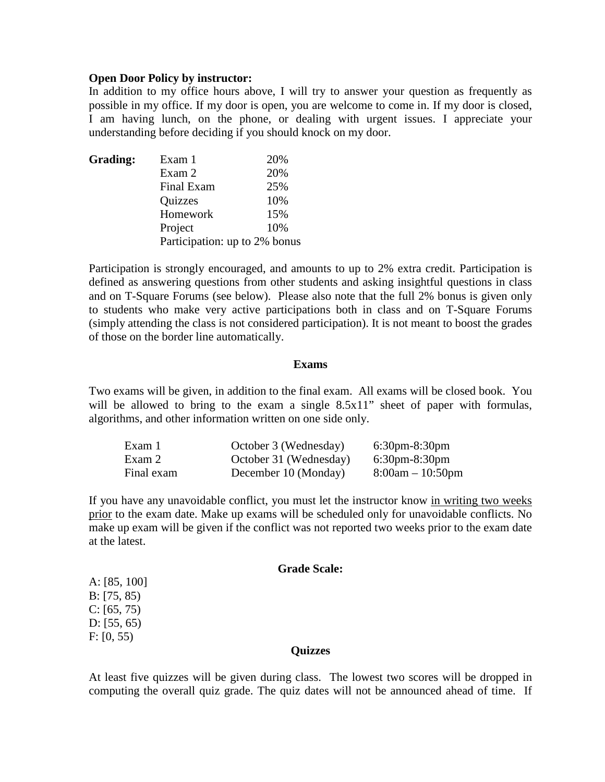#### **Open Door Policy by instructor:**

In addition to my office hours above, I will try to answer your question as frequently as possible in my office. If my door is open, you are welcome to come in. If my door is closed, I am having lunch, on the phone, or dealing with urgent issues. I appreciate your understanding before deciding if you should knock on my door.

| Grading: | Exam 1                        | 20% |
|----------|-------------------------------|-----|
|          | Exam 2                        | 20% |
|          | Final Exam                    | 25% |
|          | Quizzes                       | 10% |
|          | Homework                      | 15% |
|          | Project                       | 10% |
|          | Participation: up to 2% bonus |     |

Participation is strongly encouraged, and amounts to up to 2% extra credit. Participation is defined as answering questions from other students and asking insightful questions in class and on T-Square Forums (see below). Please also note that the full 2% bonus is given only to students who make very active participations both in class and on T-Square Forums (simply attending the class is not considered participation). It is not meant to boost the grades of those on the border line automatically.

#### **Exams**

Two exams will be given, in addition to the final exam. All exams will be closed book. You will be allowed to bring to the exam a single 8.5x11" sheet of paper with formulas, algorithms, and other information written on one side only.

| Exam 1     | October 3 (Wednesday)  | $6:30$ pm-8:30pm                  |
|------------|------------------------|-----------------------------------|
| Exam 2     | October 31 (Wednesday) | $6:30 \text{pm} - 8:30 \text{pm}$ |
| Final exam | December 10 (Monday)   | $8:00am - 10:50pm$                |

If you have any unavoidable conflict, you must let the instructor know in writing two weeks prior to the exam date. Make up exams will be scheduled only for unavoidable conflicts. No make up exam will be given if the conflict was not reported two weeks prior to the exam date at the latest.

#### **Grade Scale:**

A: [85, 100] B: [75, 85)  $C: [65, 75)$ D: [55, 65) F: [0, 55)

#### **Quizzes**

At least five quizzes will be given during class. The lowest two scores will be dropped in computing the overall quiz grade. The quiz dates will not be announced ahead of time. If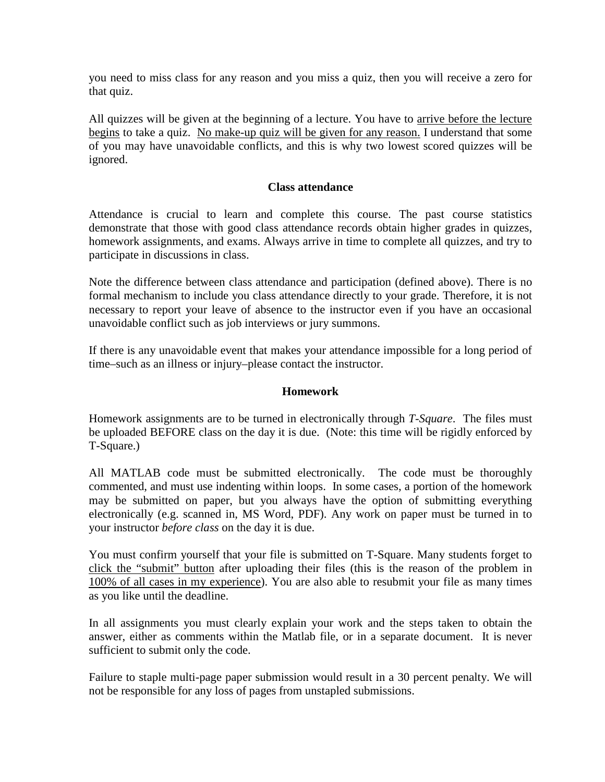you need to miss class for any reason and you miss a quiz, then you will receive a zero for that quiz.

All quizzes will be given at the beginning of a lecture. You have to arrive before the lecture begins to take a quiz. No make-up quiz will be given for any reason. I understand that some of you may have unavoidable conflicts, and this is why two lowest scored quizzes will be ignored.

## **Class attendance**

Attendance is crucial to learn and complete this course. The past course statistics demonstrate that those with good class attendance records obtain higher grades in quizzes, homework assignments, and exams. Always arrive in time to complete all quizzes, and try to participate in discussions in class.

Note the difference between class attendance and participation (defined above). There is no formal mechanism to include you class attendance directly to your grade. Therefore, it is not necessary to report your leave of absence to the instructor even if you have an occasional unavoidable conflict such as job interviews or jury summons.

If there is any unavoidable event that makes your attendance impossible for a long period of time–such as an illness or injury–please contact the instructor.

# **Homework**

Homework assignments are to be turned in electronically through *T-Square*. The files must be uploaded BEFORE class on the day it is due. (Note: this time will be rigidly enforced by T-Square.)

All MATLAB code must be submitted electronically. The code must be thoroughly commented, and must use indenting within loops. In some cases, a portion of the homework may be submitted on paper, but you always have the option of submitting everything electronically (e.g. scanned in, MS Word, PDF). Any work on paper must be turned in to your instructor *before class* on the day it is due.

You must confirm yourself that your file is submitted on T-Square. Many students forget to click the "submit" button after uploading their files (this is the reason of the problem in 100% of all cases in my experience). You are also able to resubmit your file as many times as you like until the deadline.

In all assignments you must clearly explain your work and the steps taken to obtain the answer, either as comments within the Matlab file, or in a separate document. It is never sufficient to submit only the code.

Failure to staple multi-page paper submission would result in a 30 percent penalty. We will not be responsible for any loss of pages from unstapled submissions.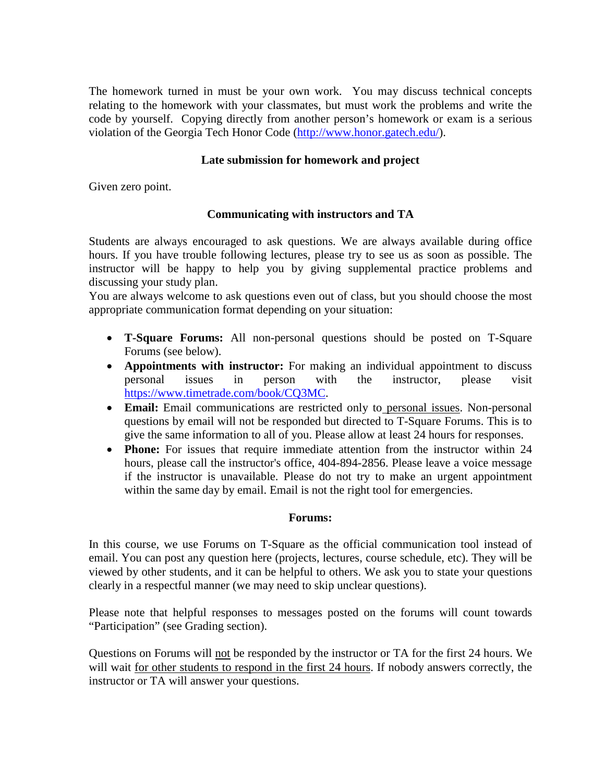The homework turned in must be your own work. You may discuss technical concepts relating to the homework with your classmates, but must work the problems and write the code by yourself. Copying directly from another person's homework or exam is a serious violation of the Georgia Tech Honor Code [\(http://www.honor.gatech.edu/\)](http://www.honor.gatech.edu/).

# **Late submission for homework and project**

Given zero point.

# **Communicating with instructors and TA**

Students are always encouraged to ask questions. We are always available during office hours. If you have trouble following lectures, please try to see us as soon as possible. The instructor will be happy to help you by giving supplemental practice problems and discussing your study plan.

You are always welcome to ask questions even out of class, but you should choose the most appropriate communication format depending on your situation:

- **T-Square Forums:** All non-personal questions should be posted on T-Square Forums (see below).
- **Appointments with instructor:** For making an individual appointment to discuss personal issues in person with the instructor, please visit [https://www.timetrade.com/book/CQ3MC.](https://www.timetrade.com/book/CQ3MC)
- **Email:** Email communications are restricted only to personal issues. Non-personal questions by email will not be responded but directed to T-Square Forums. This is to give the same information to all of you. Please allow at least 24 hours for responses.
- **Phone:** For issues that require immediate attention from the instructor within 24 hours, please call the instructor's office, 404-894-2856. Please leave a voice message if the instructor is unavailable. Please do not try to make an urgent appointment within the same day by email. Email is not the right tool for emergencies.

## **Forums:**

In this course, we use Forums on T-Square as the official communication tool instead of email. You can post any question here (projects, lectures, course schedule, etc). They will be viewed by other students, and it can be helpful to others. We ask you to state your questions clearly in a respectful manner (we may need to skip unclear questions).

Please note that helpful responses to messages posted on the forums will count towards "Participation" (see Grading section).

Questions on Forums will not be responded by the instructor or TA for the first 24 hours. We will wait for other students to respond in the first 24 hours. If nobody answers correctly, the instructor or TA will answer your questions.